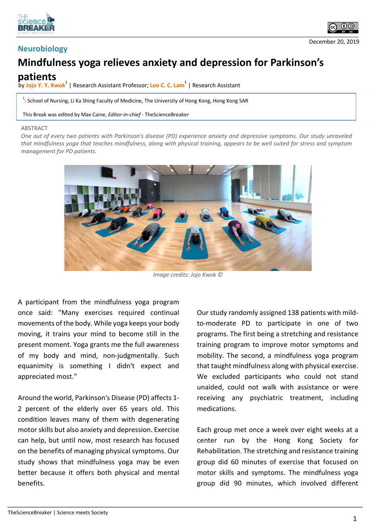



## **Mindfulness yoga relieves anxiety and depression for Parkinson's patients**

**by Jojo Y. Y. Kwok**<sup>1</sup> | Research Assistant Professor; Leo C. C. Lam<sup>1</sup> | Research Assistant

<sup>1</sup>: School of Nursing, Li Ka Shing Faculty of Medicine, The University of Hong Kong, Hong Kong SAR

This Break was edited by Max Caine, *Editor-in-chief* - TheScienceBreaker

## **ABSTRACT**

*One out of every two patients with Parkinson's disease (PD) experience anxiety and depressive symptoms. Our study unraveled that mindfulness yoga that teaches mindfulness, along with physical training, appears to be well suited for stress and symptom management for PD patients.*



*Image credits: Jojo Kwok ©*

A participant from the mindfulness yoga program once said: "Many exercises required continual movements of the body. While yoga keeps your body moving, it trains your mind to become still in the present moment. Yoga grants me the full awareness of my body and mind, non-judgmentally. Such equanimity is something I didn't expect and appreciated most."

Around the world, Parkinson's Disease (PD) affects 1- 2 percent of the elderly over 65 years old. This condition leaves many of them with degenerating motor skills but also anxiety and depression. Exercise can help, but until now, most research has focused on the benefits of managing physical symptoms. Our study shows that mindfulness yoga may be even better because it offers both physical and mental benefits.

Our study randomly assigned 138 patients with mildto-moderate PD to participate in one of two programs. The first being a stretching and resistance training program to improve motor symptoms and mobility. The second, a mindfulness yoga program that taught mindfulness along with physical exercise. We excluded participants who could not stand unaided, could not walk with assistance or were receiving any psychiatric treatment, including medications.

Each group met once a week over eight weeks at a center run by the Hong Kong Society for Rehabilitation. The stretching and resistance training group did 60 minutes of exercise that focused on motor skills and symptoms. The mindfulness yoga group did 90 minutes, which involved different